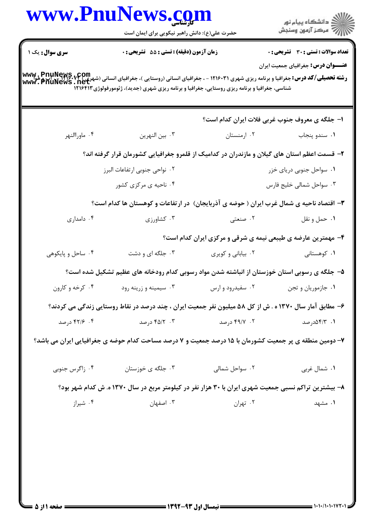|                        | حضرت علی(ع): دانش راهبر نیکویی برای ایمان است                                                                                                                                                                                                               |                                                              | ر دانشڪاه پيام نور<br>اڳ مرڪز آزمون وسنڊش                                                 |
|------------------------|-------------------------------------------------------------------------------------------------------------------------------------------------------------------------------------------------------------------------------------------------------------|--------------------------------------------------------------|-------------------------------------------------------------------------------------------|
| <b>سری سوال :</b> یک ۱ | <b>زمان آزمون (دقیقه) : تستی : 55 تشریحی : 0</b>                                                                                                                                                                                                            |                                                              | <b>تعداد سوالات : تستی : 30 ٪ تشریحی : 0</b><br><b>عنـــوان درس:</b> جغرافیای جمعیت ایران |
|                        | <b>رشته تحصیلی/کد درس: جغرافیا و برنامه ریزی شهری ۱۲۱۶۰۳۱ - ، جغرافیای انسانی (روستایی )، جغرافیای انسانی (شهری) www ، PnuNews<br/>www ، PnuNews ، net</b><br>شناسی، جغرافیا و برنامه ریزی روستایی، جغرافیا و برنامه ریزی شهری (جدید)، ژئومورفولوژی ۱۲۱۶۴۱۳ |                                                              |                                                                                           |
|                        |                                                                                                                                                                                                                                                             |                                                              | ۱- جلگه ی معروف جنوب غربی فلات ایران کدام است؟                                            |
| ۰۴ ماوراالنهر          | ۰۳ بين النهرين                                                                                                                                                                                                                                              | ۰۲ ارمنستان                                                  | ۰۱ سندو پنجاب                                                                             |
|                        | ۲– قسمت اعظم استان های گیلان و مازندران در کدامیک از قلمرو جغرافیایی کشورمان قرار گرفته اند؟                                                                                                                                                                |                                                              |                                                                                           |
|                        | ٢. نواحي جنوبي ارتفاعات البرز                                                                                                                                                                                                                               |                                                              | ۰۱ سواحل جنوبی دریای خزر                                                                  |
|                        | ۰۴ ناحیه ی مرکزی کشور                                                                                                                                                                                                                                       |                                                              | ۰۳ سواحل شمالی خلیج فارس                                                                  |
|                        | ۳- اقتصاد ناحیه ی شمال غرب ایران ( حوضه ی آذربایجان) ً در ارتفاعات و کوهستان ها کدام است؟                                                                                                                                                                   |                                                              |                                                                                           |
| ۰۴ دامداری             | ۰۳ کشاورزی                                                                                                                                                                                                                                                  | ۰۲ صنعتی                                                     | ۰۱ حمل و نقل                                                                              |
|                        |                                                                                                                                                                                                                                                             | ۴- مهمترین عارضه ی طیبعی نیمه ی شرقی و مرکزی ایران کدام است؟ |                                                                                           |
| ۰۴ ساحل و پایکوهی      | ۰۳ جلگه ای و دشت                                                                                                                                                                                                                                            | ۰۲ بیابانی و کویری                                           | ۰۱ کوهستانی                                                                               |
|                        | ۵– جلگه ی رسوبی استان خوزستان از انباشته شدن مواد رسوبی کدام رودخانه های عظیم تشکیل شده است؟                                                                                                                                                                |                                                              |                                                                                           |
| ۰۴ کرخه و کارون        | ۰۳ سیمینه و زرینه رود                                                                                                                                                                                                                                       | ۰۲ سفیدرود و ارس                                             | ۰۱ جازموریان و تجن                                                                        |
|                        | ۶– مطابق آمار سال ۱۳۷۰ ه . ش از کل ۵۸ میلیون نفر جمعیت ایران ، چند درصد در نقاط روستایی زندگی می کردند؟                                                                                                                                                     |                                                              |                                                                                           |
| ۰۴ ۱۶/۶ درصد           | ۴۵/۲ ۰۳ درصد                                                                                                                                                                                                                                                | ۰۲ ۴۹/۷ درصد                                                 | ۰۱ ۹/۴/۳مدرصد                                                                             |
|                        | ۷- دومین منطقه ی پر جمعیت کشورمان با ۱۵ درصد جمعیت و ۷ درصد مساحت کدام حوضه ی جغرافیایی ایران می باشد؟                                                                                                                                                      |                                                              |                                                                                           |
| ۰۴ زاگرس جنوبی         | ۰۳ جلگه ی خوزستان                                                                                                                                                                                                                                           | ۰۲ سواحل شمالی                                               | ۰۱ شمال غربی                                                                              |
|                        | ۸– بیشترین تراکم نسبی جمعیت شهری ایران با ۳۰ هزار نفر در کیلومتر مربع در سال ۱۳۷۰ ه. ش کدام شهر بود؟                                                                                                                                                        |                                                              |                                                                                           |
|                        |                                                                                                                                                                                                                                                             | ۰۲ تهران                                                     |                                                                                           |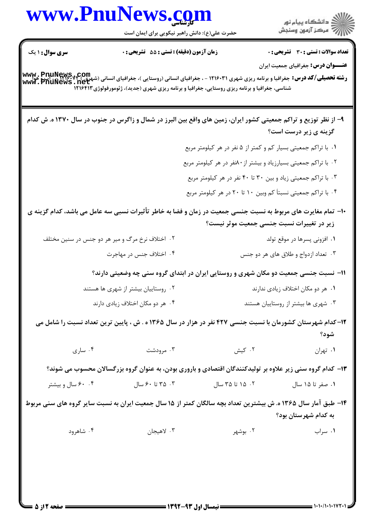|                        | www.PnuNews.com                                                                              |                                               |                                                                                                                                                            |
|------------------------|----------------------------------------------------------------------------------------------|-----------------------------------------------|------------------------------------------------------------------------------------------------------------------------------------------------------------|
|                        |                                                                                              | حضرت علی(ع): دانش راهبر نیکویی برای ایمان است |                                                                                                                                                            |
| <b>سری سوال : ۱ یک</b> | زمان آزمون (دقیقه) : تستی : 55 گشریحی : 0                                                    |                                               | تعداد سوالات : تستى : 30 - تشريحي : 0                                                                                                                      |
|                        |                                                                                              |                                               | <b>عنـــوان درس:</b> جغرافیای جمعیت ایران                                                                                                                  |
|                        | شناسی، جغرافیا و برنامه ریزی روستایی، جغرافیا و برنامه ریزی شهری (جدید)، ژئومورفولوژی۱۲۱۶۴۱۳ |                                               |                                                                                                                                                            |
|                        |                                                                                              |                                               | ۹- از نظر توزیع و تراکم جمعیتی کشور ایران، زمین های واقع بین البرز در شمال و زاگرس در جنوب در سال ۱۳۷۰ ه. ش کدام<br>گزینه ی زیر درست است؟                  |
|                        |                                                                                              |                                               | ۰۱ با تراکم جمعیتی بسیار کم و کمتر از ۵ نفر در هر کیلومتر مربع                                                                                             |
|                        |                                                                                              |                                               | ۰۲ با تراکم جمعیتی بسیارزیاد و بیشتر از ۸۰نفر در هر کیلومتر مربع                                                                                           |
|                        |                                                                                              |                                               | ۰۳ با تراکم جمعیتی زیاد و بین ۳۰ تا ۴۰ نفر در هر کیلومتر مربع                                                                                              |
|                        |                                                                                              |                                               | ۰۴ با تراکم جمعیتی نسبتاً کم وبین ۱۰ تا ۲۰ در هر کیلومتر مربع                                                                                              |
|                        |                                                                                              |                                               | ۱۰– تمام مغایرت های مربوط به نسبت جنسی جمعیت در زمان و فضا به خاطر تأثیرات نسبی سه عامل می باشد، کدام گزینه ی<br>زیر در تغییرات نسبت جنسی جمعیت موثر نیست؟ |
|                        | ۰۲ اختلاف نرخ مرگ و میر هر دو جنس در سنین مختلف                                              |                                               | ۰۱ افزونی پسرها در موقع تولد                                                                                                                               |
|                        | ۰۴ اختلاف جنس در مهاجرت                                                                      |                                               | ۰۳ تعداد ازدواج و طلاق های هر دو جنس                                                                                                                       |
|                        |                                                                                              |                                               | 1۱– نسبت جنسی جمعیت دو مکان شهری و روستایی ایران در ابتدای گروه سنی چه وضعیتی دارند؟                                                                       |
|                        | ۰۲ روستاییان بیشتر از شهری ها هستند                                                          |                                               | ٠١ هر دو مكان اختلاف زيادي ندارند                                                                                                                          |
|                        | ۰۴ هر دو مكان اختلاف زيادي دارند                                                             |                                               | ۰۳ شهری ها بیشتر از روستاییان هستند                                                                                                                        |
|                        |                                                                                              |                                               | ۱۲- کدام شهرستان کشورمان با نسبت جنسی ۴۲۷ نفر در هزار در سال ۱۳۶۵ ه . ش ، پایین ترین تعداد نسبت را شامل می<br>شود؟                                         |
| ۰۴ ساری                | ۰۳ مرودشت                                                                                    | ۰۲ کیش                                        | ٠١ تهران                                                                                                                                                   |
|                        |                                                                                              |                                               | ۱۳- کدام گروه سنی زیر علاوه بر تولیدکنندگان اقتصادی و باروری بودن، به عنوان گروه بزرگسالان محسوب می شوند؟                                                  |
| ۰۴ ۰۰ سال و بیشتر      | ۰۳ تا ۶۰ سال                                                                                 | ۲. ۱۵ تا ۳۵ سال                               | ۰۱ صفر تا ۱۵ سال                                                                                                                                           |
|                        |                                                                                              |                                               | ۱۴- طبق آمار سال ۱۳۶۵ ه. ش بیشترین تعداد بچه سالگان کمتر از ۱۵ سال جمعیت ایران به نسبت سایر گروه های سنی مربوط<br>به کدام شهرستان بود؟                     |
| ۰۴ شاهرود              | ۰۳ لاهيجان                                                                                   | ۰۲ بوشهر                                      | ۰۱ سراب                                                                                                                                                    |
|                        |                                                                                              |                                               |                                                                                                                                                            |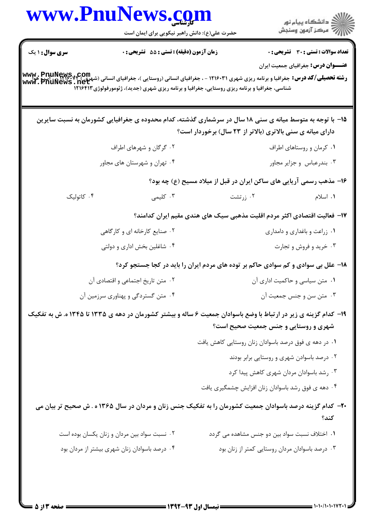| <b>سری سوال : ۱ یک</b> | حضرت علی(ع): دانش راهبر نیکویی برای ایمان است    |                                                                                                                                                                                                                                                                   |                                            |
|------------------------|--------------------------------------------------|-------------------------------------------------------------------------------------------------------------------------------------------------------------------------------------------------------------------------------------------------------------------|--------------------------------------------|
|                        | <b>زمان آزمون (دقیقه) : تستی : 55 تشریحی : 0</b> |                                                                                                                                                                                                                                                                   | تعداد سوالات : تستي : 30 - تشريحي : 0      |
|                        |                                                  |                                                                                                                                                                                                                                                                   | <b>عنـــوان درس:</b> جغرافیای جمعیت ایران  |
|                        |                                                  | <b>رشته تحصیلی/کد درس:</b> جغرافیا و برنامه ریزی شهری ۱۲۱۶۰۳۱ - ، جغرافیای انسانی (روستایی )، جغرافیای انسانی (شهری ۲۱۷۶۰۲۰۰۰ - ، آب و هما<br>www . PhuNews . net<br>شناسی، جغرافیا و برنامه ریزی روستایی، جغرافیا و برنامه ریزی شهری (جدید)، ژئومورفولوژی۱۲۱۶۴۱۳ |                                            |
|                        |                                                  | ۱۵– با توجه به متوسط میانه ی سنی ۱۸ سال در سرشماری گذشته، کدام محدوده ی جغرافیایی کشورمان به نسبت سایرین<br>دارای میانه ی سنی بالاتری (بالاتر از ۲۳ سال) برخوردار است؟                                                                                            |                                            |
|                        | ۰۲ گرگان و شهرهای اطراف                          |                                                                                                                                                                                                                                                                   | ۰۱ کرمان و روستاهای اطراف                  |
|                        | ۰۴ تهران و شهرستان های مجاور                     |                                                                                                                                                                                                                                                                   | ۰۳ بندرعباس و جزایر مجاور                  |
|                        |                                                  | ۱۶- مذهب رسمی آریایی های ساکن ایران در قبل از میلاد مسیح (ع) چه بود؟                                                                                                                                                                                              |                                            |
| ۰۴ کاتولیک             | ۰۳ کلیمی                                         | ۰۲ زرتشت                                                                                                                                                                                                                                                          | ٠١. اسلام                                  |
|                        |                                                  | ۱۷– فعالیت اقتصادی اکثر مردم اقلیت مذهبی سیک های هندی مقیم ایران کدامند؟                                                                                                                                                                                          |                                            |
|                        | ۰۲ صنایع کارخانه ای و کارگاهی                    |                                                                                                                                                                                                                                                                   | ۰۱ زراعت و باغداری و دامداری               |
|                        | ۰۴ شاغلین بخش اداری و دولتی                      |                                                                                                                                                                                                                                                                   | ۰۳ خرید و فروش و تجارت                     |
|                        |                                                  | ۱۸- علل بی سوادی و کم سوادی حاکم بر توده های مردم ایران را باید در کجا جستجو کرد؟                                                                                                                                                                                 |                                            |
|                        | ۰۲ متن تاریخ اجتماعی و اقتصادی آن                |                                                                                                                                                                                                                                                                   | ٠١ متن سياسي و حاكميت اداري آن             |
|                        | ۰۴ متن گستردگی و پهناوری سرزمین آن               |                                                                                                                                                                                                                                                                   | ۰۳ متن سن و جنس جمعیت آن                   |
|                        |                                                  | ۱۹- کدام گزینه ی زیر در ارتباط با وضع باسوادان جمعیت ۶ ساله و بیشتر کشورمان در دهه ی ۱۳۳۵ تا ۱۳۴۵ ه. ش به تفکیک<br>شهری و روستایی و جنس جمعیت صحیح است؟                                                                                                           |                                            |
|                        |                                                  | ۰۱ در دهه ی فوق درصد باسوادان زنان روستایی کاهش یافت                                                                                                                                                                                                              |                                            |
|                        |                                                  |                                                                                                                                                                                                                                                                   | ۰۲ درصد باسوادن شهری و روستایی برابر بودند |
|                        |                                                  |                                                                                                                                                                                                                                                                   | ۰۳ رشد باسوادان مردان شهری کاهش پیدا کرد   |
|                        |                                                  | ۰۴ دهه ی فوق رشد باسوادان زنان افزایش چشمگیری یافت                                                                                                                                                                                                                |                                            |
|                        |                                                  | +۲- کدام گزینه درصد باسوادان جمعیت کشورمان را به تفکیک جنس زنان و مردان در سال ۱۳۶۵ ه . ش صحیح تر بیان می                                                                                                                                                         | كند؟                                       |
|                        | ۰۲ نسبت سواد بین مردان و زنان یکسان بوده است     | ۰۱ اختلاف نسبت سواد بین دو جنس مشاهده می گردد                                                                                                                                                                                                                     |                                            |
|                        | ۰۴ درصد باسوادان زنان شهری بیشتر از مردان بود    | ۰۳ درصد باسوادان مردان روستایی کمتر از زنان بود                                                                                                                                                                                                                   |                                            |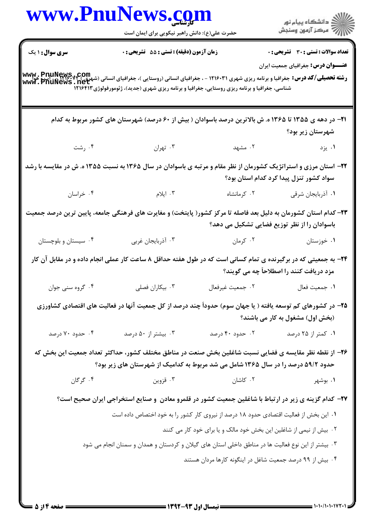|                        | www.PnuNews.com                                                                                                                                                                            |                                                                     | )<br>  استگاه پيام نور<br>      مرکز آزمون وسنڊش |
|------------------------|--------------------------------------------------------------------------------------------------------------------------------------------------------------------------------------------|---------------------------------------------------------------------|--------------------------------------------------|
|                        | حضرت علی(ع): دانش راهبر نیکویی برای ایمان است                                                                                                                                              |                                                                     |                                                  |
| <b>سری سوال :</b> ۱ یک | زمان آزمون (دقیقه) : تستی : 55 گشریحی : 0                                                                                                                                                  |                                                                     | تعداد سوالات : تستي : 30 - تشريحي : 0            |
|                        | شناسی، جغرافیا و برنامه ریزی روستایی، جغرافیا و برنامه ریزی شهری (جدید)، ژئومورفولوژی۱۲۱۶۴۱۳                                                                                               |                                                                     | <b>عنـــوان درس:</b> جغرافیای جمعیت ایران        |
|                        | ۲۱– در دهه ی ۱۳۵۵ تا ۱۳۶۵ ه. ش بالاترین درصد باسوادان ( بیش از ۶۰ درصد) شهرستان های کشور مربوط به کدام                                                                                     |                                                                     |                                                  |
|                        |                                                                                                                                                                                            |                                                                     | شهرستان زير بود؟                                 |
| ۰۴ رشت                 | ۰۳ تهران                                                                                                                                                                                   | ۰۲ مشهد                                                             | ۰۱ يزد                                           |
|                        | ۲۲– استان مرزی و استراتژیک کشورمان از نظر مقام و مرتبه ی باسوادان در سال ۱۳۶۵ به نسبت ۱۳۵۵ ه. ش در مقایسه با رشد                                                                           |                                                                     | سواد کشور تنزل پیدا کرد کدام استان بود؟          |
| ۰۴ خراسان              |                                                                                                                                                                                            |                                                                     |                                                  |
|                        | ۲۳– کدام استان کشورمان به دلیل بعد فاصله تا مرکز کشور( پایتخت) و مغایرت های فرهنگی جامعه، پایین ترین درصد جمعیت                                                                            |                                                                     | باسوادان را از نظر توزیع فضایی تشکیل می دهد؟     |
| ۰۴ سیستان و بلوچستان   |                                                                                                                                                                                            | ۰۱ خوزستان مسلسل ۲۰ کرمان مسلسل ۲۰ آذربایجان غربی ۲۰ افرا           |                                                  |
|                        | ۲۴- به جمعیتی که در برگیرنده ی تمام کسانی است که در طول هفته حداقل ۸ ساعت کار عملی انجام داده و در مقابل آن کار                                                                            |                                                                     | مزد دریافت کنند را اصطلاحاً چه می گویند؟         |
| ۰۴ گروه سنی جوان       | ۰۳ بیکاران فصلی                                                                                                                                                                            | ٠٢ جمعيت غيرفعال                                                    | ٠١ جمعيت فعال                                    |
|                        | ۲۵– در کشورهای کم توسعه یافته ( یا جهان سوم) حدوداً چند درصد از کل جمعیت آنها در فعالیت های اقتصادی کشاورزی                                                                                |                                                                     | (بخش اول) مشغول به کار می باشند؟                 |
| ۰۴ حدود ۷۰ درصد        | ۰۳ بیشتر از ۵۰ درصد                                                                                                                                                                        | ۰۲ حدود ۴۰ درصد                                                     | ۰۱ کمتر از ۲۵ درصد                               |
|                        | ۲۶– از نقطه نظر مقایسه ی فضایی نسبت شاغلین بخش صنعت در مناطق مختلف کشور، حداکثر تعداد جمعیت این بخش که<br>حدود ۵۹/۲ درصد را در سال ۱۳۶۵ شامل می شد مربوط به کدامیک از شهرستان های زیر بود؟ |                                                                     |                                                  |
| ۰۴ گرگان               | ۰۳ قزوين                                                                                                                                                                                   | ۰۲ کاشان                                                            | ۱. بوشهر                                         |
|                        | ۲۷– کدام گزینه ی زیر در ارتباط با شاغلین جمعیت کشور در قلمرو معادن ًو صنایع استخراجی ایران صحیح است؟                                                                                       |                                                                     |                                                  |
|                        | ۰۱ این بخش از فعالیت اقتصادی حدود ۱۸ درصد از نیروی کار کشور را به خود اختصاص داده است                                                                                                      |                                                                     |                                                  |
|                        |                                                                                                                                                                                            | ۰۲ بیش از نیمی از شاغلین این بخش خود مالک و یا برای خود کار می کنند |                                                  |
|                        | ۰۳ بیشتر از این نوع فعالیت ها در مناطق داخلی استان های گیلان و کردستان و همدان و سمنان انجام می شود                                                                                        |                                                                     |                                                  |
|                        |                                                                                                                                                                                            |                                                                     |                                                  |